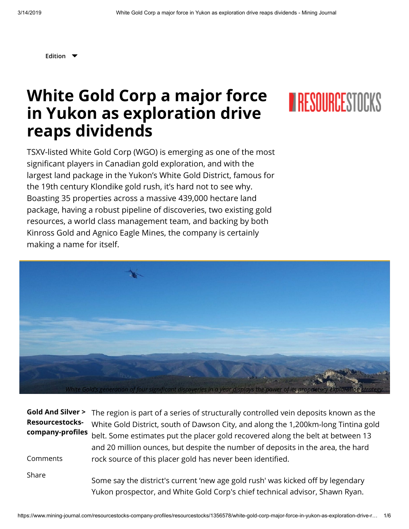**[Edition](javascript:void(0);)**

## **White Gold Corp a major force in Yukon as exploration drive reaps dividends**



TSXV-listed White Gold Corp (WGO) is emerging as one of the most significant players in Canadian gold exploration, and with the largest land package in the Yukon's White Gold District, famous for the 19th century Klondike gold rush, it's hard not to see why. Boasting 35 properties across a massive 439,000 hectare land package, having a robust pipeline of discoveries, two existing gold resources, a world class management team, and backing by both Kinross Gold and Agnico Eagle Mines, the company is certainly making a name for itself.



| Gold And Silver ><br><b>Resourcestocks-</b><br>company-profiles<br>Comments | The region is part of a series of structurally controlled vein deposits known as the<br>White Gold District, south of Dawson City, and along the 1,200km-long Tintina gold<br>belt. Some estimates put the placer gold recovered along the belt at between 13<br>and 20 million ounces, but despite the number of deposits in the area, the hard<br>rock source of this placer gold has never been identified. |
|-----------------------------------------------------------------------------|----------------------------------------------------------------------------------------------------------------------------------------------------------------------------------------------------------------------------------------------------------------------------------------------------------------------------------------------------------------------------------------------------------------|
| Share                                                                       | Some say the district's current 'new age gold rush' was kicked off by legendary<br>Yukon prospector, and White Gold Corp's chief technical advisor, Shawn Ryan.                                                                                                                                                                                                                                                |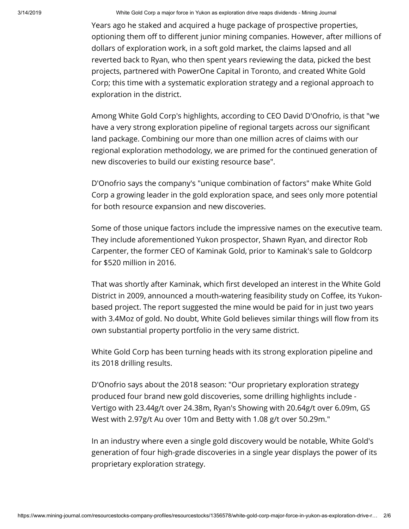3/14/2019 White Gold Corp a major force in Yukon as exploration drive reaps dividends - Mining Journal

Years ago he staked and acquired a huge package of prospective properties, optioning them off to different junior mining companies. However, after millions of dollars of exploration work, in a soft gold market, the claims lapsed and all reverted back to Ryan, who then spent years reviewing the data, picked the best projects, partnered with PowerOne Capital in Toronto, and created White Gold Corp; this time with a systematic exploration strategy and a regional approach to exploration in the district.

Among White Gold Corp's highlights, according to CEO David D'Onofrio, is that "we have a very strong exploration pipeline of regional targets across our significant land package. Combining our more than one million acres of claims with our regional exploration methodology, we are primed for the continued generation of new discoveries to build our existing resource base".

D'Onofrio says the company's "unique combination of factors" make White Gold Corp a growing leader in the gold exploration space, and sees only more potential for both resource expansion and new discoveries.

Some of those unique factors include the impressive names on the executive team. They include aforementioned Yukon prospector, Shawn Ryan, and director Rob Carpenter, the former CEO of Kaminak Gold, prior to Kaminak's sale to Goldcorp for \$520 million in 2016.

That was shortly after Kaminak, which first developed an interest in the White Gold District in 2009, announced a mouth-watering feasibility study on Coffee, its Yukonbased project. The report suggested the mine would be paid for in just two years with 3.4Moz of gold. No doubt, White Gold believes similar things will flow from its own substantial property portfolio in the very same district.

White Gold Corp has been turning heads with its strong exploration pipeline and its 2018 drilling results.

D'Onofrio says about the 2018 season: "Our proprietary exploration strategy produced four brand new gold discoveries, some drilling highlights include - Vertigo with 23.44g/t over 24.38m, Ryan's Showing with 20.64g/t over 6.09m, GS West with 2.97g/t Au over 10m and Betty with 1.08 g/t over 50.29m."

In an industry where even a single gold discovery would be notable, White Gold's generation of four high-grade discoveries in a single year displays the power of its proprietary exploration strategy.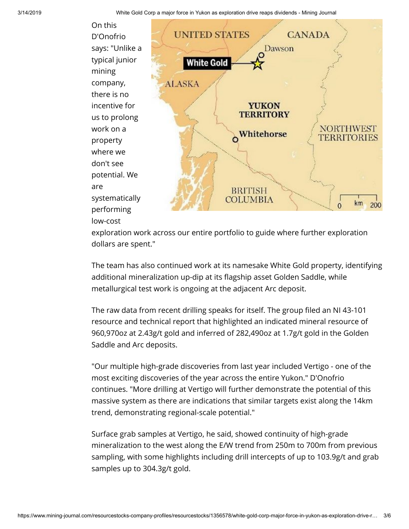3/14/2019 White Gold Corp a major force in Yukon as exploration drive reaps dividends - Mining Journal



exploration work across our entire portfolio to guide where further exploration dollars are spent."

The team has also continued work at its namesake White Gold property, identifying additional mineralization up-dip at its flagship asset Golden Saddle, while metallurgical test work is ongoing at the adjacent Arc deposit.

The raw data from recent drilling speaks for itself. The group filed an NI 43-101 resource and technical report that highlighted an indicated mineral resource of 960,970oz at 2.43g/t gold and inferred of 282,490oz at 1.7g/t gold in the Golden Saddle and Arc deposits.

"Our multiple high-grade discoveries from last year included Vertigo - one of the most exciting discoveries of the year across the entire Yukon." D'Onofrio continues. "More drilling at Vertigo will further demonstrate the potential of this massive system as there are indications that similar targets exist along the 14km trend, demonstrating regional-scale potential."

Surface grab samples at Vertigo, he said, showed continuity of high-grade mineralization to the west along the E/W trend from 250m to 700m from previous sampling, with some highlights including drill intercepts of up to 103.9g/t and grab samples up to 304.3g/t gold.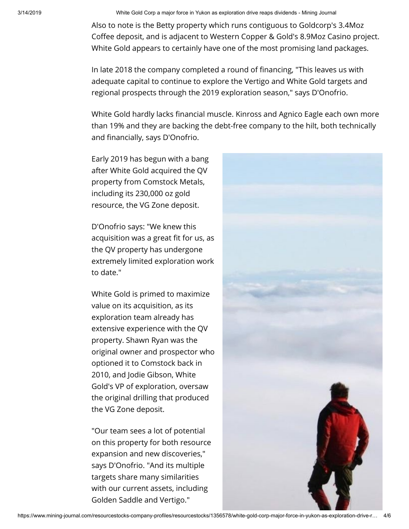3/14/2019 White Gold Corp a major force in Yukon as exploration drive reaps dividends - Mining Journal

Also to note is the Betty property which runs contiguous to Goldcorp's 3.4Moz Coffee deposit, and is adjacent to Western Copper & Gold's 8.9Moz Casino project. White Gold appears to certainly have one of the most promising land packages.

In late 2018 the company completed a round of financing, "This leaves us with adequate capital to continue to explore the Vertigo and White Gold targets and regional prospects through the 2019 exploration season," says D'Onofrio.

White Gold hardly lacks financial muscle. Kinross and Agnico Eagle each own more than 19% and they are backing the debt-free company to the hilt, both technically and financially, says D'Onofrio.

Early 2019 has begun with a bang after White Gold acquired the QV property from Comstock Metals, including its 230,000 oz gold resource, the VG Zone deposit.

D'Onofrio says: "We knew this acquisition was a great fit for us, as the QV property has undergone extremely limited exploration work to date."

White Gold is primed to maximize value on its acquisition, as its exploration team already has extensive experience with the QV property. Shawn Ryan was the original owner and prospector who optioned it to Comstock back in 2010, and Jodie Gibson, White Gold's VP of exploration, oversaw the original drilling that produced the VG Zone deposit.

"Our team sees a lot of potential on this property for both resource expansion and new discoveries," says D'Onofrio. "And its multiple targets share many similarities with our current assets, including Golden Saddle and Vertigo."